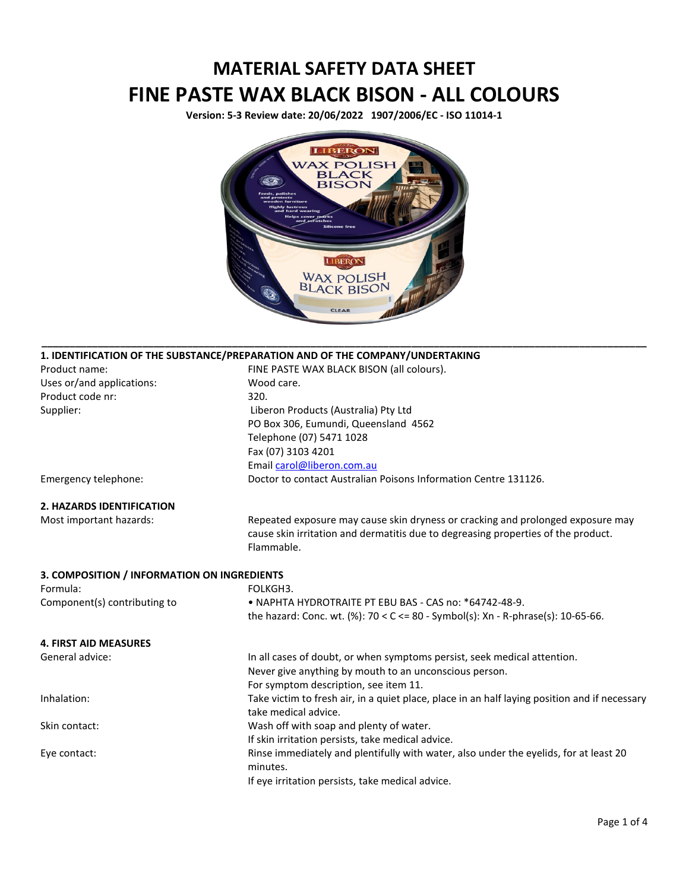## **MATERIAL SAFETY DATA SHEET FINE PASTE WAX BLACK BISON - ALL COLOURS**

**Version: 5-3 Review date: 20/06/2022 1907/2006/EC - ISO 11014-1**



**\_\_\_\_\_\_\_\_\_\_\_\_\_\_\_\_\_\_\_\_\_\_\_\_\_\_\_\_\_\_\_\_\_\_\_\_\_\_\_\_\_\_\_\_\_\_\_\_\_\_\_\_\_\_\_\_\_\_\_\_\_\_\_\_\_\_\_\_\_\_\_\_\_\_\_\_\_\_\_\_\_\_\_\_\_\_\_\_\_\_\_\_\_\_\_\_\_\_\_\_\_\_\_\_\_\_\_\_** 

|                                             | 1. IDENTIFICATION OF THE SUBSTANCE/PREPARATION AND OF THE COMPANY/UNDERTAKING                 |
|---------------------------------------------|-----------------------------------------------------------------------------------------------|
| Product name:                               | FINE PASTE WAX BLACK BISON (all colours).                                                     |
| Uses or/and applications:                   | Wood care.                                                                                    |
| Product code nr:                            | 320.                                                                                          |
| Supplier:                                   | Liberon Products (Australia) Pty Ltd                                                          |
|                                             | PO Box 306, Eumundi, Queensland 4562                                                          |
|                                             | Telephone (07) 5471 1028                                                                      |
|                                             | Fax (07) 3103 4201                                                                            |
|                                             | Email carol@liberon.com.au                                                                    |
| Emergency telephone:                        | Doctor to contact Australian Poisons Information Centre 131126.                               |
| <b>2. HAZARDS IDENTIFICATION</b>            |                                                                                               |
| Most important hazards:                     | Repeated exposure may cause skin dryness or cracking and prolonged exposure may               |
|                                             | cause skin irritation and dermatitis due to degreasing properties of the product.             |
|                                             | Flammable.                                                                                    |
| 3. COMPOSITION / INFORMATION ON INGREDIENTS |                                                                                               |
| Formula:                                    | FOLKGH3.                                                                                      |
| Component(s) contributing to                | • NAPHTA HYDROTRAITE PT EBU BAS - CAS no: *64742-48-9.                                        |
|                                             | the hazard: Conc. wt. (%): $70 < C < 80$ - Symbol(s): Xn - R-phrase(s): 10-65-66.             |
| <b>4. FIRST AID MEASURES</b>                |                                                                                               |
| General advice:                             | In all cases of doubt, or when symptoms persist, seek medical attention.                      |
|                                             | Never give anything by mouth to an unconscious person.                                        |
|                                             | For symptom description, see item 11.                                                         |
| Inhalation:                                 | Take victim to fresh air, in a quiet place, place in an half laying position and if necessary |
|                                             | take medical advice.                                                                          |
| Skin contact:                               | Wash off with soap and plenty of water.                                                       |
|                                             | If skin irritation persists, take medical advice.                                             |
| Eye contact:                                | Rinse immediately and plentifully with water, also under the eyelids, for at least 20         |
|                                             | minutes.                                                                                      |
|                                             | If eye irritation persists, take medical advice.                                              |
|                                             |                                                                                               |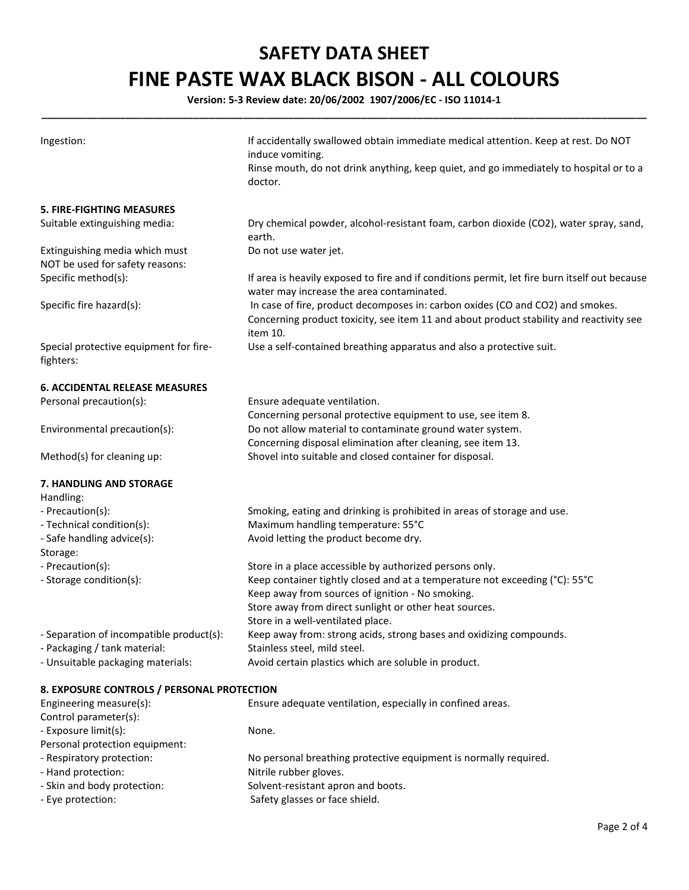## **SAFETY DATA SHEET FINE PASTE WAX BLACK BISON - ALL COLOURS**

**Version: 5-3 Review date: 20/06/2002 1907/2006/EC - ISO 11014-1 \_\_\_\_\_\_\_\_\_\_\_\_\_\_\_\_\_\_\_\_\_\_\_\_\_\_\_\_\_\_\_\_\_\_\_\_\_\_\_\_\_\_\_\_\_\_\_\_\_\_\_\_\_\_\_\_\_\_\_\_\_\_\_\_\_\_\_\_\_\_\_\_\_\_\_\_\_\_\_\_\_\_\_\_\_\_\_\_\_\_\_\_\_\_\_\_\_\_\_\_\_\_\_\_\_\_\_\_** 

| Ingestion:                                                               | If accidentally swallowed obtain immediate medical attention. Keep at rest. Do NOT<br>induce vomiting.<br>Rinse mouth, do not drink anything, keep quiet, and go immediately to hospital or to a<br>doctor. |
|--------------------------------------------------------------------------|-------------------------------------------------------------------------------------------------------------------------------------------------------------------------------------------------------------|
| <b>5. FIRE-FIGHTING MEASURES</b>                                         |                                                                                                                                                                                                             |
| Suitable extinguishing media:                                            | Dry chemical powder, alcohol-resistant foam, carbon dioxide (CO2), water spray, sand,<br>earth.                                                                                                             |
| Extinguishing media which must<br>NOT be used for safety reasons:        | Do not use water jet.                                                                                                                                                                                       |
| Specific method(s):                                                      | If area is heavily exposed to fire and if conditions permit, let fire burn itself out because<br>water may increase the area contaminated.                                                                  |
| Specific fire hazard(s):                                                 | In case of fire, product decomposes in: carbon oxides (CO and CO2) and smokes.<br>Concerning product toxicity, see item 11 and about product stability and reactivity see<br>item 10.                       |
| Special protective equipment for fire-<br>fighters:                      | Use a self-contained breathing apparatus and also a protective suit.                                                                                                                                        |
| <b>6. ACCIDENTAL RELEASE MEASURES</b>                                    |                                                                                                                                                                                                             |
| Personal precaution(s):                                                  | Ensure adequate ventilation.                                                                                                                                                                                |
|                                                                          | Concerning personal protective equipment to use, see item 8.                                                                                                                                                |
| Environmental precaution(s):                                             | Do not allow material to contaminate ground water system.                                                                                                                                                   |
|                                                                          | Concerning disposal elimination after cleaning, see item 13.                                                                                                                                                |
| Method(s) for cleaning up:                                               | Shovel into suitable and closed container for disposal.                                                                                                                                                     |
| 7. HANDLING AND STORAGE<br>Handling:                                     |                                                                                                                                                                                                             |
| - Precaution(s):                                                         | Smoking, eating and drinking is prohibited in areas of storage and use.                                                                                                                                     |
| - Technical condition(s):                                                | Maximum handling temperature: 55°C                                                                                                                                                                          |
| - Safe handling advice(s):<br>Storage:                                   | Avoid letting the product become dry.                                                                                                                                                                       |
| - Precaution(s):                                                         | Store in a place accessible by authorized persons only.                                                                                                                                                     |
| - Storage condition(s):                                                  | Keep container tightly closed and at a temperature not exceeding (°C): 55°C<br>Keep away from sources of ignition - No smoking.                                                                             |
|                                                                          | Store away from direct sunlight or other heat sources.                                                                                                                                                      |
|                                                                          | Store in a well-ventilated place.                                                                                                                                                                           |
| - Separation of incompatible product(s):<br>- Packaging / tank material: | Keep away from: strong acids, strong bases and oxidizing compounds.<br>Stainless steel, mild steel.                                                                                                         |
| - Unsuitable packaging materials:                                        | Avoid certain plastics which are soluble in product.                                                                                                                                                        |
|                                                                          |                                                                                                                                                                                                             |
| 8. EXPOSURE CONTROLS / PERSONAL PROTECTION                               |                                                                                                                                                                                                             |
| Engineering measure(s):                                                  | Ensure adequate ventilation, especially in confined areas.                                                                                                                                                  |
| Control parameter(s):<br>- Exposure limit(s):                            | None.                                                                                                                                                                                                       |
| Personal protection equipment:                                           |                                                                                                                                                                                                             |
| - Respiratory protection:                                                | No personal breathing protective equipment is normally required.                                                                                                                                            |
| - Hand protection:                                                       | Nitrile rubber gloves.                                                                                                                                                                                      |
| - Skin and body protection:                                              | Solvent-resistant apron and boots.                                                                                                                                                                          |
| - Eye protection:                                                        | Safety glasses or face shield.                                                                                                                                                                              |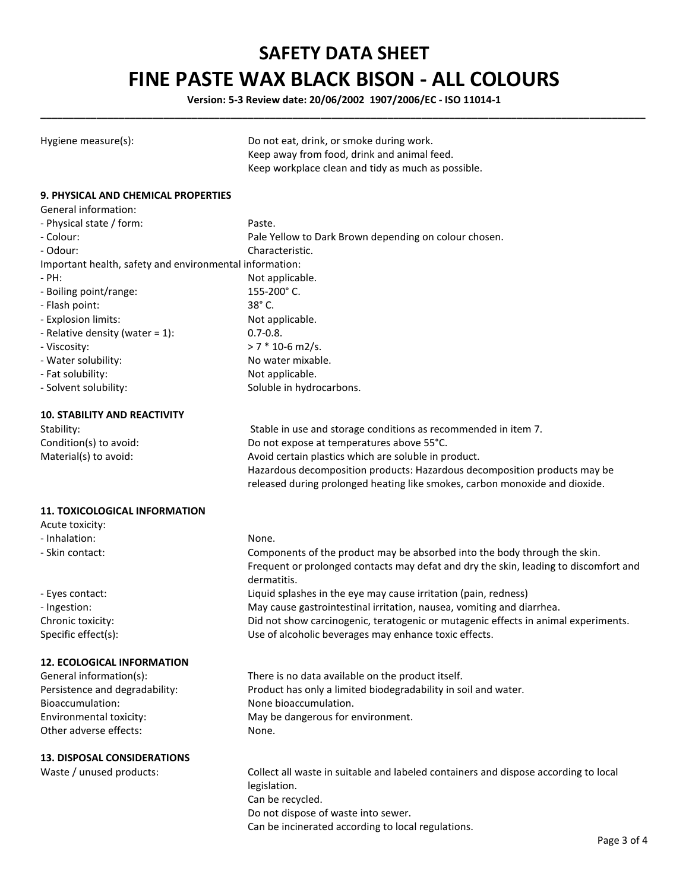## **SAFETY DATA SHEET FINE PASTE WAX BLACK BISON - ALL COLOURS**

**Version: 5-3 Review date: 20/06/2002 1907/2006/EC - ISO 11014-1 \_\_\_\_\_\_\_\_\_\_\_\_\_\_\_\_\_\_\_\_\_\_\_\_\_\_\_\_\_\_\_\_\_\_\_\_\_\_\_\_\_\_\_\_\_\_\_\_\_\_\_\_\_\_\_\_\_\_\_\_\_\_\_\_\_\_\_\_\_\_\_\_\_\_\_\_\_\_\_\_\_\_\_\_\_\_\_\_\_\_\_\_\_\_\_\_\_\_\_\_\_\_\_\_\_\_\_\_** 

| Hygiene measure(s):                                         | Do not eat, drink, or smoke during work.<br>Keep away from food, drink and animal feed.<br>Keep workplace clean and tidy as much as possible. |
|-------------------------------------------------------------|-----------------------------------------------------------------------------------------------------------------------------------------------|
| 9. PHYSICAL AND CHEMICAL PROPERTIES<br>General information: |                                                                                                                                               |
| - Physical state / form:                                    | Paste.                                                                                                                                        |
| - Colour:                                                   | Pale Yellow to Dark Brown depending on colour chosen.                                                                                         |
| - Odour:                                                    | Characteristic.                                                                                                                               |
| Important health, safety and environmental information:     |                                                                                                                                               |
| - PH:                                                       | Not applicable.                                                                                                                               |
| - Boiling point/range:                                      | 155-200°C.                                                                                                                                    |
| - Flash point:                                              | 38° C.                                                                                                                                        |
| - Explosion limits:                                         | Not applicable.                                                                                                                               |
| - Relative density (water = 1):                             | $0.7 - 0.8$ .                                                                                                                                 |
| - Viscosity:                                                | $> 7 * 10 - 6$ m2/s.                                                                                                                          |
| - Water solubility:                                         | No water mixable.                                                                                                                             |
| - Fat solubility:                                           | Not applicable.                                                                                                                               |
| - Solvent solubility:                                       | Soluble in hydrocarbons.                                                                                                                      |
|                                                             |                                                                                                                                               |
| <b>10. STABILITY AND REACTIVITY</b>                         |                                                                                                                                               |
| Stability:                                                  | Stable in use and storage conditions as recommended in item 7.                                                                                |
| Condition(s) to avoid:                                      | Do not expose at temperatures above 55°C.                                                                                                     |
| Material(s) to avoid:                                       | Avoid certain plastics which are soluble in product.                                                                                          |
|                                                             | Hazardous decomposition products: Hazardous decomposition products may be                                                                     |
|                                                             | released during prolonged heating like smokes, carbon monoxide and dioxide.                                                                   |
|                                                             |                                                                                                                                               |
| <b>11. TOXICOLOGICAL INFORMATION</b>                        |                                                                                                                                               |
| Acute toxicity:                                             |                                                                                                                                               |
| - Inhalation:                                               | None.                                                                                                                                         |
| - Skin contact:                                             | Components of the product may be absorbed into the body through the skin.                                                                     |
|                                                             | Frequent or prolonged contacts may defat and dry the skin, leading to discomfort and                                                          |
|                                                             | dermatitis.                                                                                                                                   |
| - Eyes contact:                                             | Liquid splashes in the eye may cause irritation (pain, redness)                                                                               |
| - Ingestion:                                                | May cause gastrointestinal irritation, nausea, vomiting and diarrhea.                                                                         |
| Chronic toxicity:                                           | Did not show carcinogenic, teratogenic or mutagenic effects in animal experiments.                                                            |
| Specific effect(s):                                         | Use of alcoholic beverages may enhance toxic effects.                                                                                         |
| <b>12. ECOLOGICAL INFORMATION</b>                           |                                                                                                                                               |
| General information(s):                                     | There is no data available on the product itself.                                                                                             |
| Persistence and degradability:                              | Product has only a limited biodegradability in soil and water.                                                                                |
| Bioaccumulation:                                            | None bioaccumulation.                                                                                                                         |
| Environmental toxicity:                                     | May be dangerous for environment.                                                                                                             |
| Other adverse effects:                                      | None.                                                                                                                                         |
|                                                             |                                                                                                                                               |
| <b>13. DISPOSAL CONSIDERATIONS</b>                          |                                                                                                                                               |
| Waste / unused products:                                    | Collect all waste in suitable and labeled containers and dispose according to local                                                           |
|                                                             | legislation.                                                                                                                                  |
|                                                             | Can be recycled.                                                                                                                              |
|                                                             |                                                                                                                                               |

Do not dispose of waste into sewer. Can be incinerated according to local regulations.